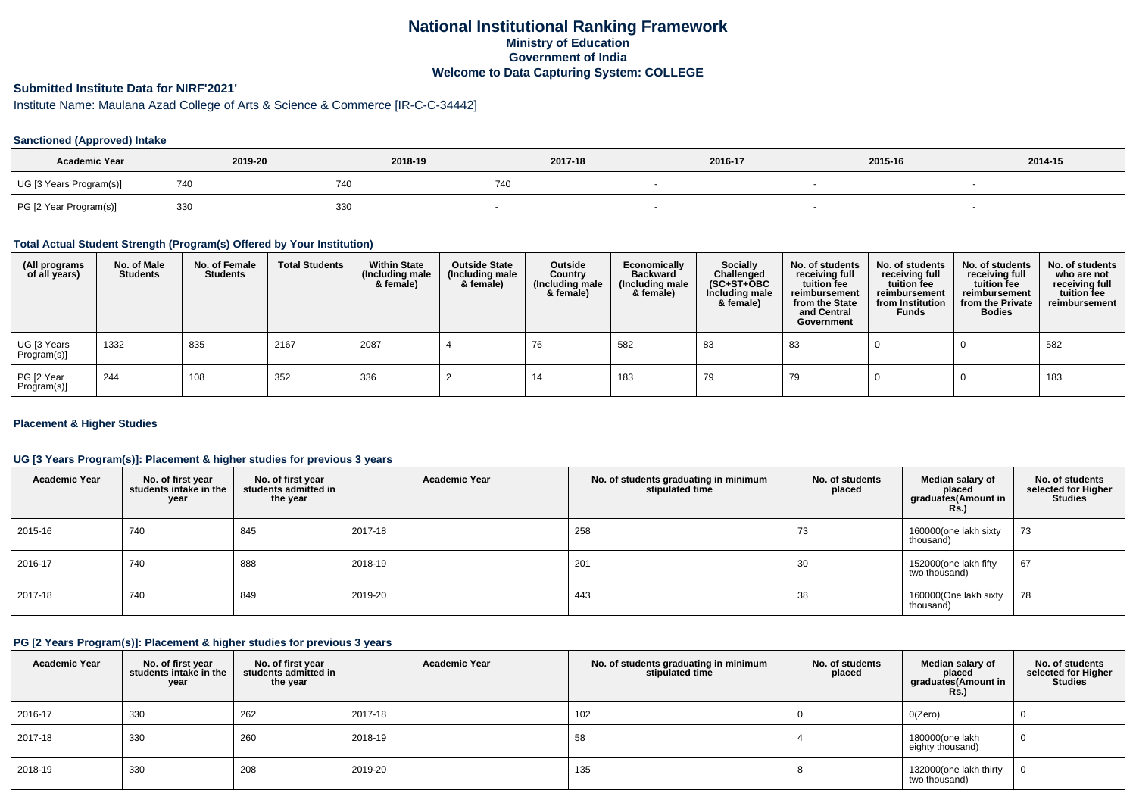# **National Institutional Ranking FrameworkMinistry of Education Government of IndiaWelcome to Data Capturing System: COLLEGE**

# **Submitted Institute Data for NIRF'2021'**

# Institute Name: Maulana Azad College of Arts & Science & Commerce [IR-C-C-34442]

### **Sanctioned (Approved) Intake**

| <b>Academic Year</b>    | 2019-20 | 2018-19 | 2017-18 | 2016-17 | 2015-16 | 2014-15 |
|-------------------------|---------|---------|---------|---------|---------|---------|
| UG [3 Years Program(s)] | 740     | 740     | 740     |         |         |         |
| PG [2 Year Program(s)]  | 330     | 330     |         |         |         |         |

#### **Total Actual Student Strength (Program(s) Offered by Your Institution)**

| (All programs<br>of all years) | No. of Male<br><b>Students</b> | No. of Female<br><b>Students</b> | <b>Total Students</b> | <b>Within State</b><br>(Including male<br>& female) | <b>Outside State</b><br>(Including male<br>& female) | Outside<br>Country<br>(Including male<br>& female) | Economically<br><b>Backward</b><br>(Including male<br>& female) | <b>Socially</b><br>Challenged<br>$(SC+ST+OBC)$<br>Including male<br>& female) | No. of students<br>receiving full<br>tuition fee<br>reimbursement<br>from the State<br>and Central<br>Government | No. of students<br>receiving full<br>tuition fee<br>reimbursement<br>from Institution<br><b>Funds</b> | No. of students<br>receiving full<br>tuition fee<br>reimbursement<br>from the Private<br><b>Bodies</b> | No. of students<br>who are not<br>receiving full<br>tuition fee<br>reimbursement |
|--------------------------------|--------------------------------|----------------------------------|-----------------------|-----------------------------------------------------|------------------------------------------------------|----------------------------------------------------|-----------------------------------------------------------------|-------------------------------------------------------------------------------|------------------------------------------------------------------------------------------------------------------|-------------------------------------------------------------------------------------------------------|--------------------------------------------------------------------------------------------------------|----------------------------------------------------------------------------------|
| UG [3 Years<br>Program(s)]     | 1332                           | 835                              | 2167                  | 2087                                                |                                                      | 76                                                 | 582                                                             | 83                                                                            | 83                                                                                                               |                                                                                                       |                                                                                                        | 582                                                                              |
| PG [2 Year<br>Program(s)]      | 244                            | 108                              | 352                   | 336                                                 |                                                      | 14                                                 | 183                                                             | 79                                                                            | 79                                                                                                               |                                                                                                       |                                                                                                        | 183                                                                              |

### **Placement & Higher Studies**

### **UG [3 Years Program(s)]: Placement & higher studies for previous 3 years**

| <b>Academic Year</b> | No. of first year<br>students intake in the<br>year | No. of first year<br>students admitted in<br>the year | <b>Academic Year</b> | No. of students graduating in minimum<br>stipulated time | No. of students<br>placed | Median salary of<br>placed<br>graduates(Amount in<br><b>Rs.)</b> | No. of students<br>selected for Higher<br><b>Studies</b> |
|----------------------|-----------------------------------------------------|-------------------------------------------------------|----------------------|----------------------------------------------------------|---------------------------|------------------------------------------------------------------|----------------------------------------------------------|
| 2015-16              | 740                                                 | 845                                                   | 2017-18              | 258                                                      | 73                        | 160000(one lakh sixty<br>thousand)                               | 73                                                       |
| 2016-17              | 740                                                 | 888                                                   | 2018-19              | 201                                                      | 30                        | 152000(one lakh fifty<br>two thousand)                           | 67                                                       |
| 2017-18              | 740                                                 | 849                                                   | 2019-20              | 443                                                      | 38                        | 160000(One lakh sixty<br>thousand)                               | 78                                                       |

#### **PG [2 Years Program(s)]: Placement & higher studies for previous 3 years**

| <b>Academic Year</b> | No. of first year<br>students intake in the<br>year | No. of first year<br>students admitted in<br>the year | <b>Academic Year</b> | No. of students graduating in minimum<br>stipulated time | No. of students<br>placed | Median salary of<br>placed<br>graduates(Amount in<br><b>Rs.)</b> | No. of students<br>selected for Higher<br><b>Studies</b> |
|----------------------|-----------------------------------------------------|-------------------------------------------------------|----------------------|----------------------------------------------------------|---------------------------|------------------------------------------------------------------|----------------------------------------------------------|
| 2016-17              | 330                                                 | 262                                                   | 2017-18              | 102                                                      |                           | O(Zero)                                                          | υ                                                        |
| 2017-18              | 330                                                 | 260                                                   | 2018-19              | 58                                                       |                           | 180000(one lakh<br>eighty thousand)                              | 0                                                        |
| 2018-19              | 330                                                 | 208                                                   | 2019-20              | 135                                                      |                           | 132000(one lakh thirty<br>two thousand)                          | 0                                                        |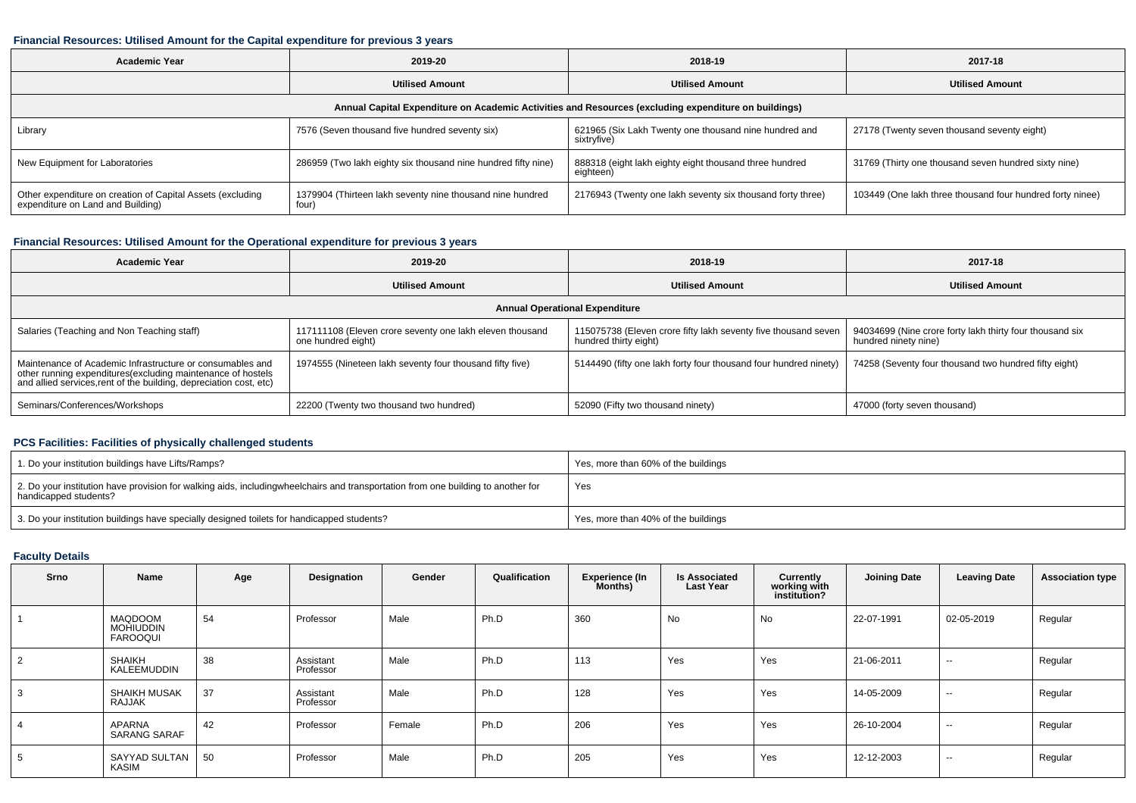### **Financial Resources: Utilised Amount for the Capital expenditure for previous 3 years**

| <b>Academic Year</b>                                                                                 | 2019-20                                                            | 2018-19                                                              | 2017-18                                                   |  |  |  |  |  |  |  |  |  |
|------------------------------------------------------------------------------------------------------|--------------------------------------------------------------------|----------------------------------------------------------------------|-----------------------------------------------------------|--|--|--|--|--|--|--|--|--|
|                                                                                                      | <b>Utilised Amount</b>                                             | <b>Utilised Amount</b>                                               | <b>Utilised Amount</b>                                    |  |  |  |  |  |  |  |  |  |
| Annual Capital Expenditure on Academic Activities and Resources (excluding expenditure on buildings) |                                                                    |                                                                      |                                                           |  |  |  |  |  |  |  |  |  |
| 7576 (Seven thousand five hundred seventy six)<br>Library                                            |                                                                    | 621965 (Six Lakh Twenty one thousand nine hundred and<br>sixtryfive) | 27178 (Twenty seven thousand seventy eight)               |  |  |  |  |  |  |  |  |  |
| New Equipment for Laboratories                                                                       | 286959 (Two lakh eighty six thousand nine hundred fifty nine)      | 888318 (eight lakh eighty eight thousand three hundred<br>eighteen)  | 31769 (Thirty one thousand seven hundred sixty nine)      |  |  |  |  |  |  |  |  |  |
| Other expenditure on creation of Capital Assets (excluding<br>expenditure on Land and Building)      | 1379904 (Thirteen lakh seventy nine thousand nine hundred<br>four) | 2176943 (Twenty one lakh seventy six thousand forty three)           | 103449 (One lakh three thousand four hundred forty ninee) |  |  |  |  |  |  |  |  |  |

## **Financial Resources: Utilised Amount for the Operational expenditure for previous 3 years**

| <b>Academic Year</b>                                                                                                                                                                            | 2019-20                                                                        | 2018-19                                                                                 | 2017-18                                                                          |  |  |  |  |  |  |  |  |  |
|-------------------------------------------------------------------------------------------------------------------------------------------------------------------------------------------------|--------------------------------------------------------------------------------|-----------------------------------------------------------------------------------------|----------------------------------------------------------------------------------|--|--|--|--|--|--|--|--|--|
|                                                                                                                                                                                                 | <b>Utilised Amount</b>                                                         | <b>Utilised Amount</b>                                                                  | <b>Utilised Amount</b>                                                           |  |  |  |  |  |  |  |  |  |
| <b>Annual Operational Expenditure</b>                                                                                                                                                           |                                                                                |                                                                                         |                                                                                  |  |  |  |  |  |  |  |  |  |
| Salaries (Teaching and Non Teaching staff)                                                                                                                                                      | 117111108 (Eleven crore seventy one lakh eleven thousand<br>one hundred eight) | 115075738 (Eleven crore fifty lakh seventy five thousand seven<br>hundred thirty eight) | 94034699 (Nine crore forty lakh thirty four thousand six<br>hundred ninety nine) |  |  |  |  |  |  |  |  |  |
| Maintenance of Academic Infrastructure or consumables and<br>other running expenditures (excluding maintenance of hostels<br>and allied services, rent of the building, depreciation cost, etc) | 1974555 (Nineteen lakh seventy four thousand fifty five)                       | 5144490 (fifty one lakh forty four thousand four hundred ninety)                        | 74258 (Seventy four thousand two hundred fifty eight)                            |  |  |  |  |  |  |  |  |  |
| Seminars/Conferences/Workshops                                                                                                                                                                  | 22200 (Twenty two thousand two hundred)                                        | 52090 (Fifty two thousand ninety)                                                       | 47000 (forty seven thousand)                                                     |  |  |  |  |  |  |  |  |  |

## **PCS Facilities: Facilities of physically challenged students**

| 1. Do your institution buildings have Lifts/Ramps?                                                                                                        | Yes, more than 60% of the buildings |
|-----------------------------------------------------------------------------------------------------------------------------------------------------------|-------------------------------------|
| 2. Do your institution have provision for walking aids, includingwheelchairs and transportation from one building to another for<br>handicapped students? | Yes                                 |
| 3. Do your institution buildings have specially designed toilets for handicapped students?                                                                | Yes, more than 40% of the buildings |

## **Faculty Details**

| Srno           | Name                                                  | Age | Designation            | Gender | Qualification | <b>Experience (In</b><br>Months) | <b>Is Associated</b><br><b>Last Year</b> | Currently<br>working with<br>institution? | <b>Joining Date</b> | <b>Leaving Date</b> | <b>Association type</b> |
|----------------|-------------------------------------------------------|-----|------------------------|--------|---------------|----------------------------------|------------------------------------------|-------------------------------------------|---------------------|---------------------|-------------------------|
|                | <b>MAQDOOM</b><br><b>MOHIUDDIN</b><br><b>FAROOQUI</b> | 54  | Professor              | Male   | Ph.D          | 360                              | No                                       | No                                        | 22-07-1991          | 02-05-2019          | Regular                 |
| 2              | SHAIKH<br>KALEEMUDDIN                                 | 38  | Assistant<br>Professor | Male   | Ph.D          | 113                              | Yes                                      | Yes                                       | 21-06-2011          | $\sim$              | Regular                 |
| 3              | SHAIKH MUSAK<br>RAJJAK                                | 37  | Assistant<br>Professor | Male   | Ph.D          | 128                              | Yes                                      | Yes                                       | 14-05-2009          | $\sim$              | Regular                 |
| $\overline{4}$ | APARNA<br><b>SARANG SARAF</b>                         | 42  | Professor              | Female | Ph.D          | 206                              | Yes                                      | Yes                                       | 26-10-2004          | $\sim$              | Regular                 |
| 5              | SAYYAD SULTAN<br>KASIM                                | 50  | Professor              | Male   | Ph.D          | 205                              | Yes                                      | Yes                                       | 12-12-2003          | $\sim$              | Regular                 |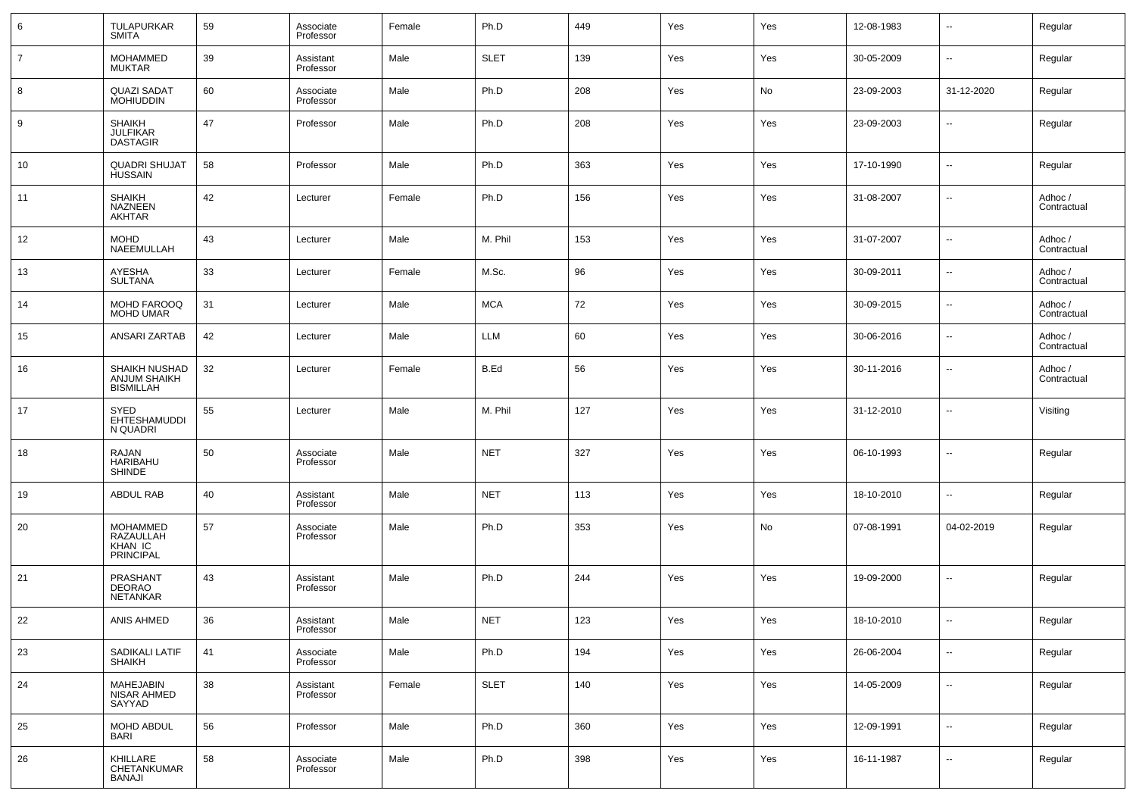| 6              | <b>TULAPURKAR</b><br><b>SMITA</b>                    | 59 | Associate<br>Professor | Female | Ph.D        | 449 | Yes | Yes | 12-08-1983 | $\sim$                   | Regular                |
|----------------|------------------------------------------------------|----|------------------------|--------|-------------|-----|-----|-----|------------|--------------------------|------------------------|
| $\overline{7}$ | <b>MOHAMMED</b><br>MUKTAR                            | 39 | Assistant<br>Professor | Male   | <b>SLET</b> | 139 | Yes | Yes | 30-05-2009 | ⊷                        | Regular                |
| 8              | <b>QUAZI SADAT</b><br><b>MOHIUDDIN</b>               | 60 | Associate<br>Professor | Male   | Ph.D        | 208 | Yes | No  | 23-09-2003 | 31-12-2020               | Regular                |
| 9              | <b>SHAIKH</b><br><b>JULFIKAR</b><br><b>DASTAGIR</b>  | 47 | Professor              | Male   | Ph.D        | 208 | Yes | Yes | 23-09-2003 | ⊷                        | Regular                |
| 10             | <b>QUADRI SHUJAT</b><br><b>HUSSAIN</b>               | 58 | Professor              | Male   | Ph.D        | 363 | Yes | Yes | 17-10-1990 | $\mathbf{u}$             | Regular                |
| 11             | <b>SHAIKH</b><br>NAZNEEN<br><b>AKHTAR</b>            | 42 | Lecturer               | Female | Ph.D        | 156 | Yes | Yes | 31-08-2007 | ⊷                        | Adhoc /<br>Contractual |
| 12             | <b>MOHD</b><br>NAEEMULLAH                            | 43 | Lecturer               | Male   | M. Phil     | 153 | Yes | Yes | 31-07-2007 | --                       | Adhoc /<br>Contractual |
| 13             | AYESHA<br><b>SULTANA</b>                             | 33 | Lecturer               | Female | M.Sc.       | 96  | Yes | Yes | 30-09-2011 | --                       | Adhoc /<br>Contractual |
| 14             | MOHD FAROOQ<br><b>MOHD UMAR</b>                      | 31 | Lecturer               | Male   | <b>MCA</b>  | 72  | Yes | Yes | 30-09-2015 | н.                       | Adhoc /<br>Contractual |
| 15             | ANSARI ZARTAB                                        | 42 | Lecturer               | Male   | LLM         | 60  | Yes | Yes | 30-06-2016 | $\overline{a}$           | Adhoc /<br>Contractual |
| 16             | SHAIKH NUSHAD<br>ANJUM SHAIKH<br>BISMILLAH           | 32 | Lecturer               | Female | B.Ed        | 56  | Yes | Yes | 30-11-2016 | --                       | Adhoc /<br>Contractual |
| 17             | SYED<br>EHTESHAMUDDI<br>N QUADRI                     | 55 | Lecturer               | Male   | M. Phil     | 127 | Yes | Yes | 31-12-2010 | $\overline{\phantom{a}}$ | Visiting               |
| 18             | RAJAN<br>HARIBAHU<br><b>SHINDE</b>                   | 50 | Associate<br>Professor | Male   | <b>NET</b>  | 327 | Yes | Yes | 06-10-1993 | --                       | Regular                |
| 19             | <b>ABDUL RAB</b>                                     | 40 | Assistant<br>Professor | Male   | <b>NET</b>  | 113 | Yes | Yes | 18-10-2010 | н.                       | Regular                |
| 20             | <b>MOHAMMED</b><br>RAZAULLAH<br>KHAN IC<br>PRINCIPAL | 57 | Associate<br>Professor | Male   | Ph.D        | 353 | Yes | No  | 07-08-1991 | 04-02-2019               | Regular                |
| 21             | PRASHANT<br><b>DEORAO</b><br><b>NETANKAR</b>         | 43 | Assistant<br>Professor | Male   | Ph.D        | 244 | Yes | Yes | 19-09-2000 | --                       | Regular                |
| 22             | ANIS AHMED                                           | 36 | Assistant<br>Professor | Male   | <b>NET</b>  | 123 | Yes | Yes | 18-10-2010 | $- -$                    | Regular                |
| 23             | SADIKALI LATIF<br>SHAIKH                             | 41 | Associate<br>Professor | Male   | Ph.D        | 194 | Yes | Yes | 26-06-2004 | н.                       | Regular                |
| 24             | MAHEJABIN<br><b>NISAR AHMED</b><br>SAYYAD            | 38 | Assistant<br>Professor | Female | <b>SLET</b> | 140 | Yes | Yes | 14-05-2009 | н.                       | Regular                |
| 25             | MOHD ABDUL<br>BARI                                   | 56 | Professor              | Male   | Ph.D        | 360 | Yes | Yes | 12-09-1991 | н.                       | Regular                |
| 26             | KHILLARE<br>CHETANKUMAR<br>BANAJI                    | 58 | Associate<br>Professor | Male   | Ph.D        | 398 | Yes | Yes | 16-11-1987 | н.                       | Regular                |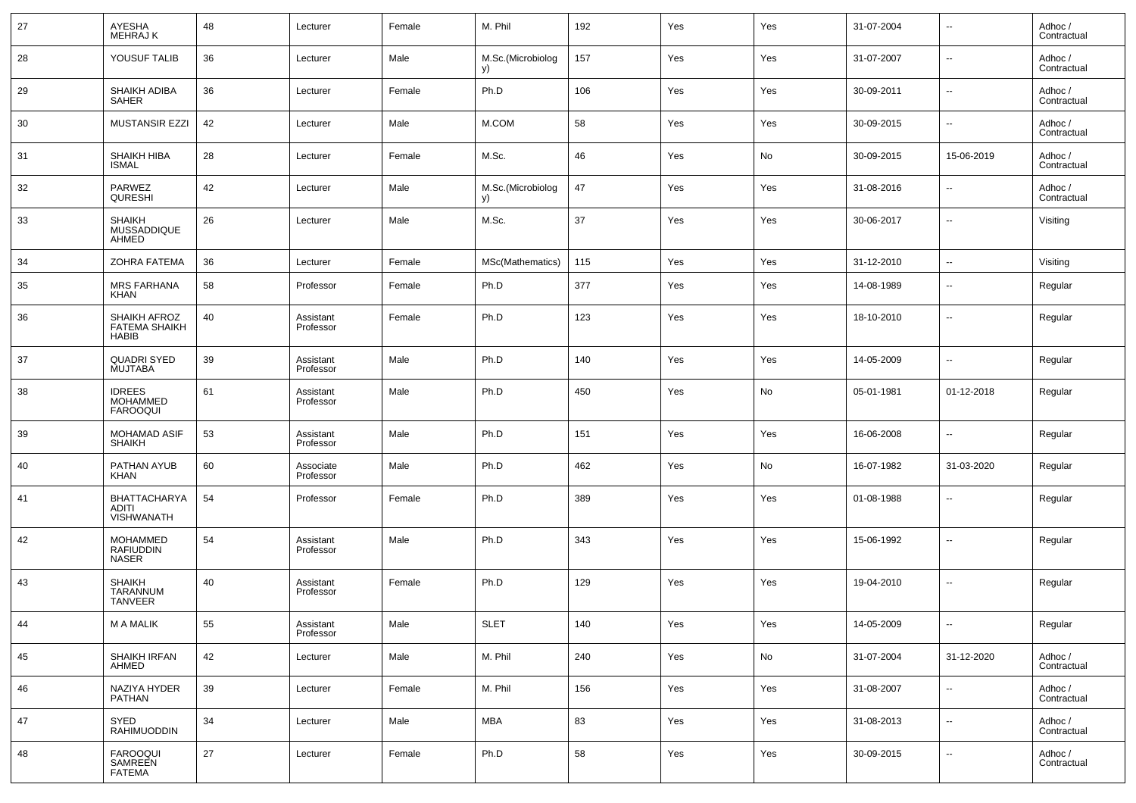| 27 | AYESHA<br>MEHRAJ K                                   | 48 | Lecturer               | Female | M. Phil                 | 192 | Yes | Yes | 31-07-2004 | $\overline{\phantom{a}}$ | Adhoc /<br>Contractual |
|----|------------------------------------------------------|----|------------------------|--------|-------------------------|-----|-----|-----|------------|--------------------------|------------------------|
| 28 | YOUSUF TALIB                                         | 36 | Lecturer               | Male   | M.Sc.(Microbiolog<br>y) | 157 | Yes | Yes | 31-07-2007 | $\overline{\phantom{a}}$ | Adhoc /<br>Contractual |
| 29 | SHAIKH ADIBA<br><b>SAHER</b>                         | 36 | Lecturer               | Female | Ph.D                    | 106 | Yes | Yes | 30-09-2011 | $\overline{\phantom{a}}$ | Adhoc /<br>Contractual |
| 30 | <b>MUSTANSIR EZZI</b>                                | 42 | Lecturer               | Male   | M.COM                   | 58  | Yes | Yes | 30-09-2015 | --                       | Adhoc /<br>Contractual |
| 31 | SHAIKH HIBA<br>ISMAL                                 | 28 | Lecturer               | Female | M.Sc.                   | 46  | Yes | No  | 30-09-2015 | 15-06-2019               | Adhoc /<br>Contractual |
| 32 | PARWEZ<br>QURESHI                                    | 42 | Lecturer               | Male   | M.Sc.(Microbiolog<br>y) | 47  | Yes | Yes | 31-08-2016 | --                       | Adhoc /<br>Contractual |
| 33 | <b>SHAIKH</b><br>MUSSADDIQUE<br>AHMED                | 26 | Lecturer               | Male   | M.Sc.                   | 37  | Yes | Yes | 30-06-2017 | --                       | Visiting               |
| 34 | ZOHRA FATEMA                                         | 36 | Lecturer               | Female | MSc(Mathematics)        | 115 | Yes | Yes | 31-12-2010 | $\ddotsc$                | Visiting               |
| 35 | <b>MRS FARHANA</b><br><b>KHAN</b>                    | 58 | Professor              | Female | Ph.D                    | 377 | Yes | Yes | 14-08-1989 | --                       | Regular                |
| 36 | SHAIKH AFROZ<br><b>FATEMA SHAIKH</b><br><b>HABIB</b> | 40 | Assistant<br>Professor | Female | Ph.D                    | 123 | Yes | Yes | 18-10-2010 | --                       | Regular                |
| 37 | <b>QUADRI SYED</b><br><b>MUJTABA</b>                 | 39 | Assistant<br>Professor | Male   | Ph.D                    | 140 | Yes | Yes | 14-05-2009 | $\sim$                   | Regular                |
| 38 | <b>IDREES</b><br><b>MOHAMMED</b><br><b>FAROOQUI</b>  | 61 | Assistant<br>Professor | Male   | Ph.D                    | 450 | Yes | No  | 05-01-1981 | 01-12-2018               | Regular                |
| 39 | MOHAMAD ASIF<br><b>SHAIKH</b>                        | 53 | Assistant<br>Professor | Male   | Ph.D                    | 151 | Yes | Yes | 16-06-2008 | $\overline{\phantom{a}}$ | Regular                |
| 40 | PATHAN AYUB<br>KHAN                                  | 60 | Associate<br>Professor | Male   | Ph.D                    | 462 | Yes | No  | 16-07-1982 | 31-03-2020               | Regular                |
| 41 | <b>BHATTACHARYA</b><br>ADITI<br><b>VISHWANATH</b>    | 54 | Professor              | Female | Ph.D                    | 389 | Yes | Yes | 01-08-1988 | $\overline{\phantom{a}}$ | Regular                |
| 42 | <b>MOHAMMED</b><br><b>RAFIUDDIN</b><br><b>NASER</b>  | 54 | Assistant<br>Professor | Male   | Ph.D                    | 343 | Yes | Yes | 15-06-1992 | --                       | Regular                |
| 43 | <b>SHAIKH</b><br><b>TARANNUM</b><br><b>TANVEER</b>   | 40 | Assistant<br>Professor | Female | Ph.D                    | 129 | Yes | Yes | 19-04-2010 | $\overline{\phantom{a}}$ | Regular                |
| 44 | M A MALIK                                            | 55 | Assistant<br>Professor | Male   | <b>SLET</b>             | 140 | Yes | Yes | 14-05-2009 | ۰.                       | Regular                |
| 45 | SHAIKH IRFAN<br><b>AHMED</b>                         | 42 | Lecturer               | Male   | M. Phil                 | 240 | Yes | No  | 31-07-2004 | 31-12-2020               | Adhoc /<br>Contractual |
| 46 | NAZIYA HYDER<br><b>PATHAN</b>                        | 39 | Lecturer               | Female | M. Phil                 | 156 | Yes | Yes | 31-08-2007 | ۰.                       | Adhoc /<br>Contractual |
| 47 | SYED<br><b>RAHIMUODDIN</b>                           | 34 | Lecturer               | Male   | <b>MBA</b>              | 83  | Yes | Yes | 31-08-2013 | ۰.                       | Adhoc /<br>Contractual |
| 48 | FAROOQUI<br>SAMREEN<br><b>FATEMA</b>                 | 27 | Lecturer               | Female | Ph.D                    | 58  | Yes | Yes | 30-09-2015 | ۰.                       | Adhoc /<br>Contractual |